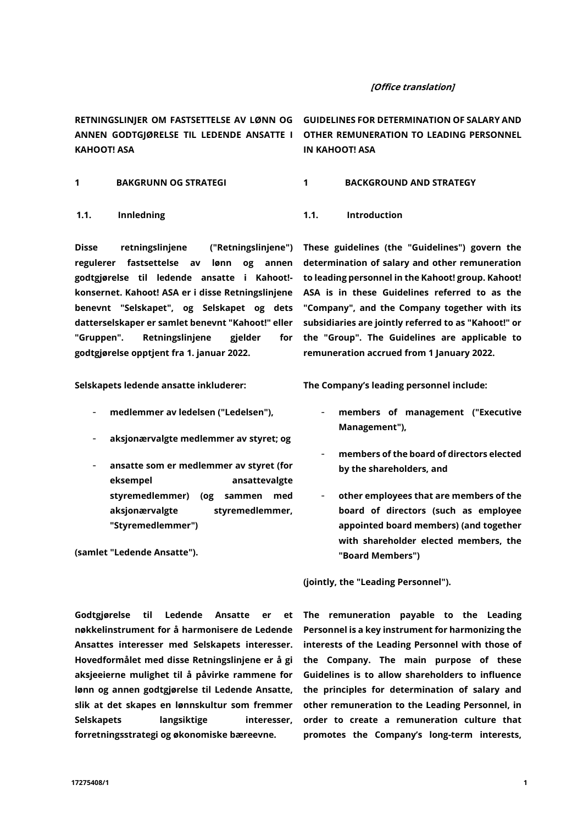### [Office translation]

**KAHOOT! ASA**

Disse retningslinjene ("**Retningslinjene**") regulerer fastsettelse av lønn og annen godtgjørelse til ledende ansatte i Kahoot! konsernet. Kahoot! ASA er i disse Retningslinjene benevnt "**Selskapet**", og Selskapet og dets datterselskaper er samlet benevnt "**Kahoot**!" eller "**Gruppen**". Retningslinjene gjelder for godtgjørelse opptjent fra 1. januar 2022.

Selskapets ledende ansatte inkluderer:

- medlemmer av ledelsen ("**Ledelsen**"),
- aksjonærvalgte medlemmer av styret; og
- ansatte som er medlemmer av styret (for eksempel ansattevalgte styremedlemmer) (og sammen med aksjonærvalgte styremedlemmer, "**Styremedlemmer**")

(samlet "**Ledende Ansatte**").

**RETNINGSLINJER OM FASTSETTELSE AV LØNN OG GUIDELINES FOR DETERMINATION OF SALARY AND ANNEN GODTGJØRELSE TIL LEDENDE ANSATTE I OTHER REMUNERATION TO LEADING PERSONNEL IN KAHOOT! ASA** 

**1 BAKGRUNN OG STRATEGI 1 BACKGROUND AND STRATEGY** 

**1.1. Innledning 1.1. Introduction**

These guidelines (the "**Guidelines"**) govern the determination of salary and other remuneration to leading personnel in the Kahoot! group. Kahoot! ASA is in these Guidelines referred to as the "**Company**", and the Company together with its subsidiaries are jointly referred to as "**Kahoot!**" or the "**Group**". The Guidelines are applicable to remuneration accrued from 1 January 2022.

The Company's leading personnel include:

- members of management ("**Executive Management**"),
- members of the board of directors elected by the shareholders, and
- other employees that are members of the board of directors (such as employee appointed board members) (and together with shareholder elected members, the "**Board Members**")

(jointly, the "**Leading Personnel**").

Godtgjørelse til Ledende Ansatte er et nøkkelinstrument for å harmonisere de Ledende Ansattes interesser med Selskapets interesser. Hovedformålet med disse Retningslinjene er å gi aksjeeierne mulighet til å påvirke rammene for lønn og annen godtgjørelse til Ledende Ansatte, slik at det skapes en lønnskultur som fremmer Selskapets langsiktige interesser. forretningsstrategi og økonomiske bæreevne.

The remuneration payable to the Leading Personnel is a key instrument for harmonizing the interests of the Leading Personnel with those of the Company. The main purpose of these Guidelines is to allow shareholders to influence the principles for determination of salary and other remuneration to the Leading Personnel, in order to create a remuneration culture that promotes the Company's long-term interests,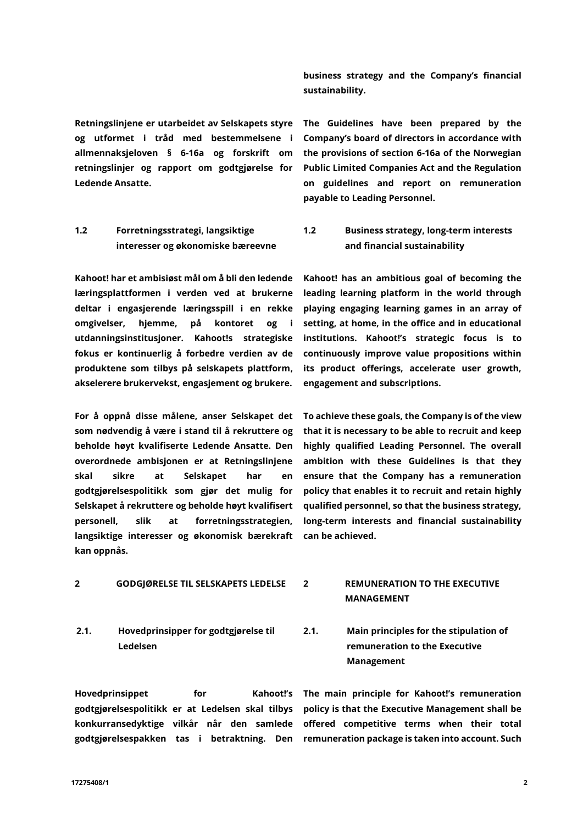Retningslinjene er utarbeidet av Selskapets styre og utformet i tråd med bestemmelsene i allmennaksjeloven § 6-16a og forskrift om retningslinjer og rapport om godtgjørelse for Ledende Ansatte.

# <span id="page-1-0"></span>**1.2 Forretningsstrategi, langsiktige interesser og økonomiske bæreevne**

Kahoot! har et ambisiøst mål om å bli den ledende læringsplattformen i verden ved at brukerne deltar i engasjerende læringsspill i en rekke omgivelser, hjemme, på kontoret og i utdanningsinstitusjoner. Kahoot!s strategiske fokus er kontinuerlig å forbedre verdien av de produktene som tilbys på selskapets plattform, akselerere brukervekst, engasjement og brukere.

For å oppnå disse målene, anser Selskapet det som nødvendig å være i stand til å rekruttere og beholde høyt kvalifiserte Ledende Ansatte. Den overordnede ambisjonen er at Retningslinjene skal sikre at Selskapet har en godtgjørelsespolitikk som gjør det mulig for Selskapet å rekruttere og beholde høyt kvalifisert personell, slik at forretningsstrategien, langsiktige interesser og økonomisk bærekraft kan oppnås.

business strategy and the Company's financial sustainability.

The Guidelines have been prepared by the Company's board of directors in accordance with the provisions of section 6-16a of the Norwegian Public Limited Companies Act and the Regulation on guidelines and report on remuneration payable to Leading Personnel.

**1.2 Business strategy, long-term interests and financial sustainability**

Kahoot! has an ambitious goal of becoming the leading learning platform in the world through playing engaging learning games in an array of setting, at home, in the office and in educational institutions. Kahoot!'s strategic focus is to continuously improve value propositions within its product offerings, accelerate user growth, engagement and subscriptions.

To achieve these goals, the Company is of the view that it is necessary to be able to recruit and keep highly qualified Leading Personnel. The overall ambition with these Guidelines is that they ensure that the Company has a remuneration policy that enables it to recruit and retain highly qualified personnel, so that the business strategy, long-term interests and financial sustainability can be achieved.

### **2 GODGJØRELSE TIL SELSKAPETS LEDELSE 2 REMUNERATION TO THE EXECUTIVE**

**2.1. Hovedprinsipper for godtgjørelse til Ledelsen** 

godtgjørelsespolitikk er at Ledelsen skal tilbys

Hovedprinsippet for

# **MANAGEMENT**

**2.1. Main principles for the stipulation of remuneration to the Executive Management** 

konkurransedyktige vilkår når den samlede offered competitive terms when their total godtgjørelsespakken tas i betraktning. Den remuneration package is taken into account. Such Kahoot!'s The main principle for Kahoot!'s remuneration policy is that the Executive Management shall be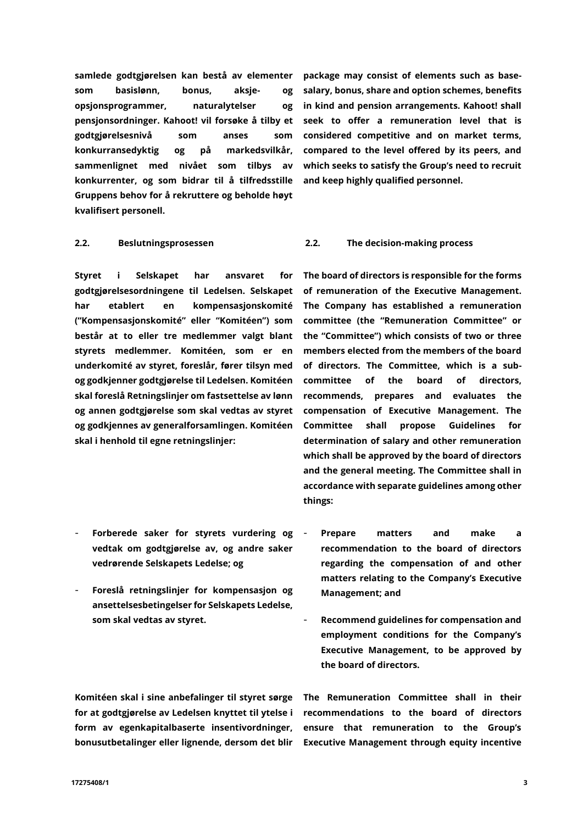samlede godtgjørelsen kan bestå av elementer som basislønn, bonus, aksje- og opsjonsprogrammer, naturalytelser og pensjonsordninger. Kahoot! vil forsøke å tilby et godtgjørelsesnivå som anses som konkurransedyktig og på markedsvilkår, sammenlignet med nivået som tilbys av konkurrenter, og som bidrar til å tilfredsstille Gruppens behov for å rekruttere og beholde høyt kvalifisert personell.

Styret i Selskapet har ansvaret for godtgjørelsesordningene til Ledelsen. Selskapet har etablert en kompensasjonskomité ("**Kompensasjonskomité**" eller "**Komitéen**") som består at to eller tre medlemmer valgt blant styrets medlemmer. Komitéen, som er en underkomité av styret, foreslår, fører tilsyn med og godkjenner godtgjørelse til Ledelsen. Komitéen skal foreslå Retningslinjer om fastsettelse av lønn og annen godtgjørelse som skal vedtas av styret og godkjennes av generalforsamlingen. Komitéen skal i henhold til egne retningslinjer:

- Forberede saker for styrets vurdering og vedtak om godtgjørelse av, og andre saker vedrørende Selskapets Ledelse; og
- Foreslå retningslinjer for kompensasjon og ansettelsesbetingelser for Selskapets Ledelse, som skal vedtas av styret.

Komitéen skal i sine anbefalinger til styret sørge for at godtgjørelse av Ledelsen knyttet til ytelse i form av egenkapitalbaserte insentivordninger, bonusutbetalinger eller lignende, dersom det blir

package may consist of elements such as basesalary, bonus, share and option schemes, benefits in kind and pension arrangements. Kahoot! shall seek to offer a remuneration level that is considered competitive and on market terms, compared to the level offered by its peers, and which seeks to satisfy the Group's need to recruit and keep highly qualified personnel.

### **2.2. Beslutningsprosessen 2.2. The decision-making process**

The board of directors is responsible for the forms of remuneration of the Executive Management. The Company has established a remuneration committee (the "**Remuneration Committee**" or the "**Committee**") which consists of two or three members elected from the members of the board of directors. The Committee, which is a subcommittee of the board of directors, recommends, prepares and evaluates the compensation of Executive Management. The Committee shall propose Guidelines for determination of salary and other remuneration which shall be approved by the board of directors and the general meeting. The Committee shall in accordance with separate guidelines among other things:

- Prepare matters and make a recommendation to the board of directors regarding the compensation of and other matters relating to the Company's Executive Management; and
- Recommend guidelines for compensation and employment conditions for the Company's Executive Management, to be approved by the board of directors.

The Remuneration Committee shall in their recommendations to the board of directors ensure that remuneration to the Group's Executive Management through equity incentive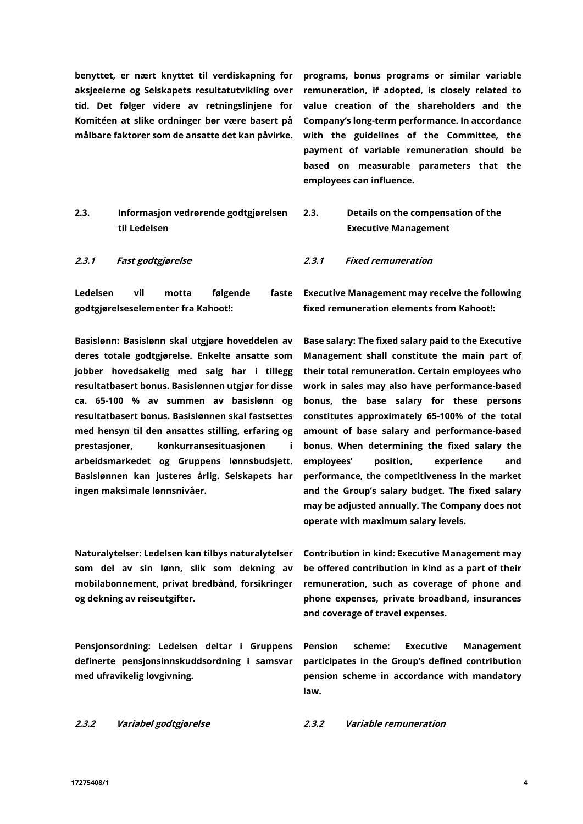benyttet, er nært knyttet til verdiskapning for aksjeeierne og Selskapets resultatutvikling over tid. Det følger videre av retningslinjene for Komitéen at slike ordninger bør være basert på målbare faktorer som de ansatte det kan påvirke.

**2.3. Informasjon vedrørende godtgjørelsen til Ledelsen**

Ledelsen vil motta følgende faste godtgjørelseselementer fra Kahoot!:

**Basislønn**: Basislønn skal utgjøre hoveddelen av deres totale godtgjørelse. Enkelte ansatte som jobber hovedsakelig med salg har i tillegg resultatbasert bonus. Basislønnen utgjør for disse ca. 65-100 % av summen av basislønn og resultatbasert bonus. Basislønnen skal fastsettes med hensyn til den ansattes stilling, erfaring og prestasjoner, konkurransesituasjonen i arbeidsmarkedet og Gruppens lønnsbudsjett. Basislønnen kan justeres årlig. Selskapets har ingen maksimale lønnsnivåer.

**Naturalytelser**: Ledelsen kan tilbys naturalytelser som del av sin lønn, slik som dekning av mobilabonnement, privat bredbånd, forsikringer og dekning av reiseutgifter.

**Pensjonsordning**: Ledelsen deltar i Gruppens definerte pensjonsinnskuddsordning i samsvar med ufravikelig lovgivning.

programs, bonus programs or similar variable remuneration, if adopted, is closely related to value creation of the shareholders and the Company's long-term performance. In accordance with the guidelines of the Committee, the payment of variable remuneration should be based on measurable parameters that the employees can influence.

- **2.3. Details on the compensation of the Executive Management**
- 2.3.1 Fast godtgjørelse 2.3.1 Fixed remuneration

Executive Management may receive the following fixed remuneration elements from Kahoot!:

**Base salary:** The fixed salary paid to the Executive Management shall constitute the main part of their total remuneration. Certain employees who work in sales may also have performance-based bonus, the base salary for these persons constitutes approximately 65-100% of the total amount of base salary and performance-based bonus. When determining the fixed salary the employees' position, experience and performance, the competitiveness in the market and the Group's salary budget. The fixed salary may be adjusted annually. The Company does not operate with maximum salary levels.

**Contribution in kind**: Executive Management may be offered contribution in kind as a part of their remuneration, such as coverage of phone and phone expenses, private broadband, insurances and coverage of travel expenses.

**Pension scheme**: Executive Management participates in the Group's defined contribution pension scheme in accordance with mandatory law.

2.3.2 Variabel godtgjørelse 2.3.2 Variable remuneration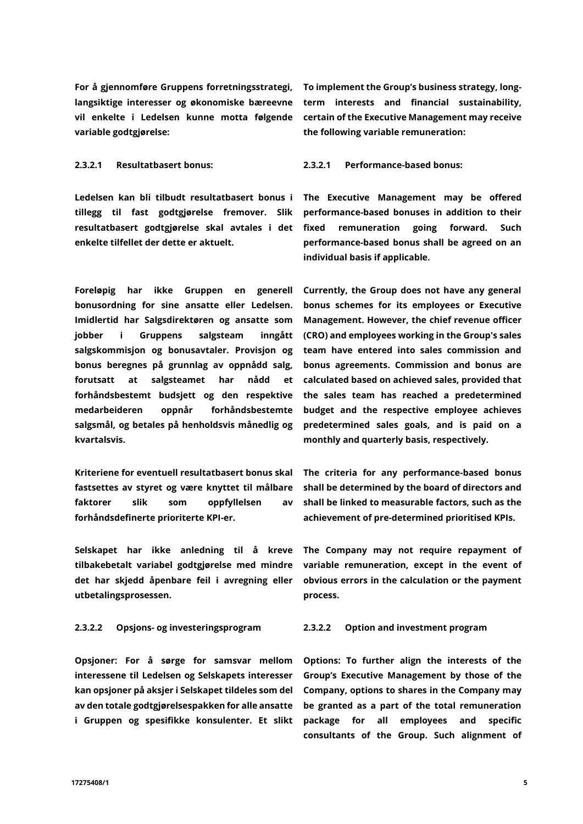For å gjennomføre Gruppens forretningsstrategi, langsiktige interesser og økonomiske bæreevne vil enkelte i Ledelsen kunne motta følgende variable godtgjørelse:

Ledelsen kan bli tilbudt resultatbasert bonus i tillegg til fast godtgjørelse fremover. Slik resultatbasert godtgjørelse skal avtales i det enkelte tilfellet der dette er aktuelt.

Foreløpig har ikke Gruppen en generell bonusordning for sine ansatte eller Ledelsen. Imidlertid har Salgsdirektøren og ansatte som jobber i Gruppens salgsteam inngått salgskommisjon og bonusavtaler. Provisjon og bonus beregnes på grunnlag av oppnådd salg, forutsatt at salgsteamet har nådd et forhåndsbestemt budsjett og den respektive medarbeideren oppnår forhåndsbestemte salgsmål, og betales på henholdsvis månedlig og kvartalsvis.

Kriteriene for eventuell resultatbasert bonus skal fastsettes av styret og være knyttet til målbare faktorer slik som oppfyllelsen av forhåndsdefinerte prioriterte KPI-er.

Selskapet har ikke anledning til å kreve tilbakebetalt variabel godtgjørelse med mindre det har skjedd åpenbare feil i avregning eller utbetalingsprosessen.

**Opsjoner**: For å sørge for samsvar mellom interessene til Ledelsen og Selskapets interesser kan opsjoner på aksjer i Selskapet tildeles som del av den totale godtgjørelsespakken for alle ansatte i Gruppen og spesifikke konsulenter. Et slikt

To implement the Group's business strategy, longterm interests and financial sustainability, certain of the Executive Management may receive the following variable remuneration:

### 2.3.2.1 Resultatbasert bonus: 2.3.2.1 Performance-based bonus:

The Executive Management may be offered performance-based bonuses in addition to their fixed remuneration going forward. Such performance-based bonus shall be agreed on an individual basis if applicable.

Currently, the Group does not have any general bonus schemes for its employees or Executive Management. However, the chief revenue officer (CRO) and employees working in the Group's sales team have entered into sales commission and bonus agreements. Commission and bonus are calculated based on achieved sales, provided that the sales team has reached a predetermined budget and the respective employee achieves predetermined sales goals, and is paid on a monthly and quarterly basis, respectively.

The criteria for any performance-based bonus shall be determined by the board of directors and shall be linked to measurable factors, such as the achievement of pre-determined prioritised KPIs.

The Company may not require repayment of variable remuneration, except in the event of obvious errors in the calculation or the payment process.

### 2.3.2.2 Opsjons- og investeringsprogram 2.3.2.2 Option and investment program

**Options**: To further align the interests of the Group's Executive Management by those of the Company, options to shares in the Company may be granted as a part of the total remuneration package for all employees and specific consultants of the Group. Such alignment of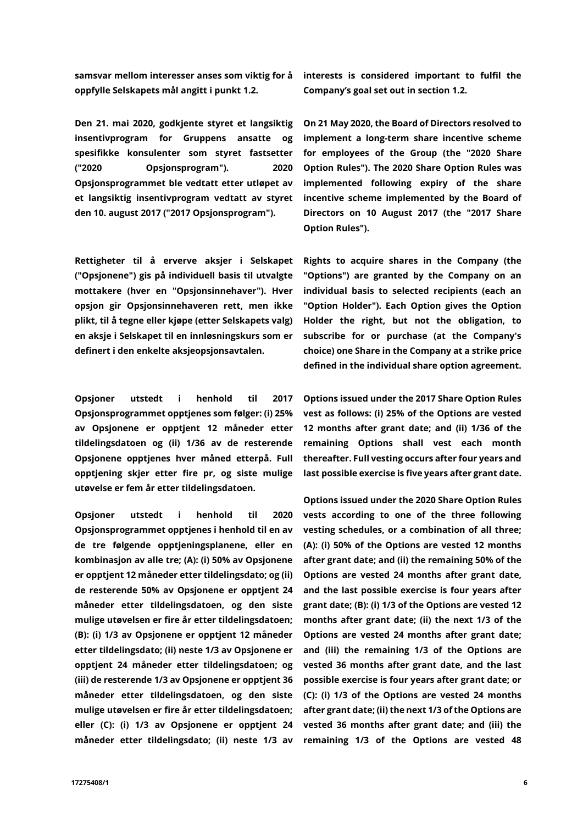samsvar mellom interesser anses som viktig for å oppfylle Selskapets mål angitt i punk[t 1.2.](#page-1-0)

Den 21. mai 2020, godkjente styret et langsiktig insentivprogram for Gruppens ansatte og spesifikke konsulenter som styret fastsetter ("**2020 Opsjonsprogram**"). 2020 Opsjonsprogrammet ble vedtatt etter utløpet av et langsiktig insentivprogram vedtatt av styret den 10. august 2017 ("**2017 Opsjonsprogram**").

Rettigheter til å erverve aksjer i Selskapet ("**Opsjonene**") gis på individuell basis til utvalgte mottakere (hver en "**Opsjonsinnehaver**"). Hver opsjon gir Opsjonsinnehaveren rett, men ikke plikt, til å tegne eller kjøpe (etter Selskapets valg) en aksje i Selskapet til en innløsningskurs som er definert i den enkelte aksjeopsjonsavtalen.

Opsjoner utstedt i henhold til 2017 Opsjonsprogrammet opptjenes som følger: (i) 25% av Opsjonene er opptjent 12 måneder etter tildelingsdatoen og (ii) 1/36 av de resterende Opsjonene opptjenes hver måned etterpå. Full opptjening skjer etter fire pr, og siste mulige utøvelse er fem år etter tildelingsdatoen.

Opsjoner utstedt i henhold til 2020 Opsjonsprogrammet opptjenes i henhold til en av de tre følgende opptjeningsplanene, eller en kombinasjon av alle tre; (A): (i) 50% av Opsjonene er opptjent 12 måneder etter tildelingsdato; og (ii) de resterende 50% av Opsjonene er opptjent 24 måneder etter tildelingsdatoen, og den siste mulige utøvelsen er fire år etter tildelingsdatoen; (B): (i) 1/3 av Opsjonene er opptjent 12 måneder etter tildelingsdato; (ii) neste 1/3 av Opsjonene er opptjent 24 måneder etter tildelingsdatoen; og (iii) de resterende 1/3 av Opsjonene er opptjent 36 måneder etter tildelingsdatoen, og den siste mulige utøvelsen er fire år etter tildelingsdatoen; eller (C): (i) 1/3 av Opsjonene er opptjent 24 måneder etter tildelingsdato; (ii) neste 1/3 av interests is considered important to fulfil the Company's goal set out in section [1.2.](#page-1-0)

On 21 May 2020, the Board of Directors resolved to implement a long-term share incentive scheme for employees of the Group (the "**2020 Share Option Rules**"). The 2020 Share Option Rules was implemented following expiry of the share incentive scheme implemented by the Board of Directors on 10 August 2017 (the "**2017 Share Option Rules**").

Rights to acquire shares in the Company (the "**Options**") are granted by the Company on an individual basis to selected recipients (each an "**Option Holder**"). Each Option gives the Option Holder the right, but not the obligation, to subscribe for or purchase (at the Company's choice) one Share in the Company at a strike price defined in the individual share option agreement.

Options issued under the 2017 Share Option Rules vest as follows: (i) 25% of the Options are vested 12 months after grant date; and (ii) 1/36 of the remaining Options shall vest each month thereafter. Full vesting occurs after four years and last possible exercise is five years after grant date.

Options issued under the 2020 Share Option Rules vests according to one of the three following vesting schedules, or a combination of all three; (A): (i) 50% of the Options are vested 12 months after grant date; and (ii) the remaining 50% of the Options are vested 24 months after grant date, and the last possible exercise is four years after grant date; (B): (i) 1/3 of the Options are vested 12 months after grant date; (ii) the next 1/3 of the Options are vested 24 months after grant date; and (iii) the remaining 1/3 of the Options are vested 36 months after grant date, and the last possible exercise is four years after grant date; or (C): (i) 1/3 of the Options are vested 24 months after grant date; (ii) the next 1/3 of the Options are vested 36 months after grant date; and (iii) the remaining 1/3 of the Options are vested 48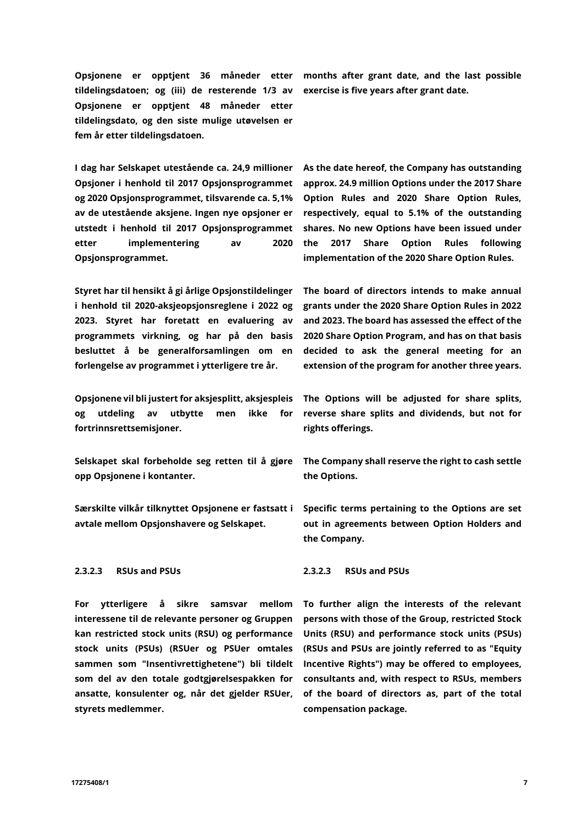tildelingsdatoen; og (iii) de resterende 1/3 av Opsjonene er opptjent 48 måneder etter tildelingsdato, og den siste mulige utøvelsen er fem år etter tildelingsdatoen.

I dag har Selskapet utestående ca. 24,9 millioner Opsjoner i henhold til 2017 Opsjonsprogrammet og 2020 Opsjonsprogrammet, tilsvarende ca. 5,1% av de utestående aksjene. Ingen nye opsjoner er utstedt i henhold til 2017 Opsjonsprogrammet etter implementering av 2020 Opsjonsprogrammet.

Styret har til hensikt å gi årlige Opsjonstildelinger i henhold til 2020-aksjeopsjonsreglene i 2022 og 2023. Styret har foretatt en evaluering av programmets virkning, og har på den basis besluttet å be generalforsamlingen om en forlengelse av programmet i ytterligere tre år.

Opsjonene vil bli justert for aksjesplitt, aksjespleis og utdeling av utbytte men ikke for fortrinnsrettsemisjoner.

Selskapet skal forbeholde seg retten til å gjøre opp Opsjonene i kontanter.

Særskilte vilkår tilknyttet Opsjonene er fastsatt i avtale mellom Opsjonshavere og Selskapet.

### **2.3.2.3 RSUs and PSUs 2.3.2.3 RSUs and PSUs**

For ytterligere å sikre samsvar mellom interessene til de relevante personer og Gruppen kan restricted stock units (RSU) og performance stock units (PSUs) (RSUer og PSUer omtales sammen som "**Insentivrettighetene**") bli tildelt som del av den totale godtgjørelsespakken for ansatte, konsulenter og, når det gjelder RSUer, styrets medlemmer.

Opsjonene er opptjent 36 måneder etter months after grant date, and the last possible exercise is five years after grant date.

> As the date hereof, the Company has outstanding approx. 24.9 million Options under the 2017 Share Option Rules and 2020 Share Option Rules, respectively, equal to 5.1% of the outstanding shares. No new Options have been issued under the 2017 Share Option Rules following implementation of the 2020 Share Option Rules.

> The board of directors intends to make annual grants under the 2020 Share Option Rules in 2022 and 2023. The board has assessed the effect of the 2020 Share Option Program, and has on that basis decided to ask the general meeting for an extension of the program for another three years.

> The Options will be adjusted for share splits, reverse share splits and dividends, but not for rights offerings.

> The Company shall reserve the right to cash settle the Options.

> Specific terms pertaining to the Options are set out in agreements between Option Holders and the Company.

To further align the interests of the relevant persons with those of the Group, restricted Stock Units (RSU) and performance stock units (PSUs) (RSUs and PSUs are jointly referred to as "**Equity Incentive Rights**") may be offered to employees, consultants and, with respect to RSUs, members of the board of directors as, part of the total compensation package.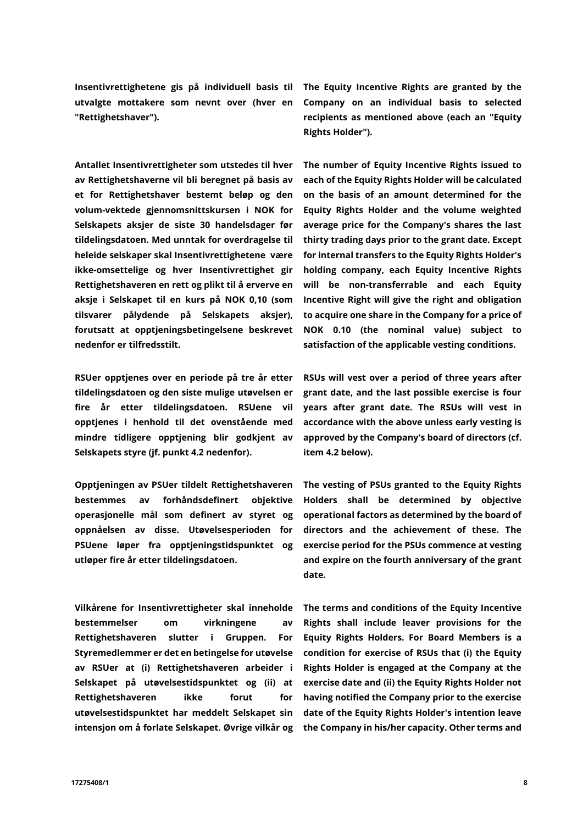Insentivrettighetene gis på individuell basis til utvalgte mottakere som nevnt over (hver en "**Rettighetshaver**").

Antallet Insentivrettigheter som utstedes til hver av Rettighetshaverne vil bli beregnet på basis av et for Rettighetshaver bestemt beløp og den volum-vektede gjennomsnittskursen i NOK for Selskapets aksjer de siste 30 handelsdager før tildelingsdatoen. Med unntak for overdragelse til heleide selskaper skal Insentivrettighetene være ikke-omsettelige og hver Insentivrettighet gir Rettighetshaveren en rett og plikt til å erverve en aksje i Selskapet til en kurs på NOK 0,10 (som tilsvarer pålydende på Selskapets aksjer), forutsatt at opptjeningsbetingelsene beskrevet nedenfor er tilfredsstilt.

RSUer opptjenes over en periode på tre år etter tildelingsdatoen og den siste mulige utøvelsen er fire år etter tildelingsdatoen. RSUene vil opptjenes i henhold til det ovenstående med mindre tidligere opptjening blir godkjent av Selskapets styre (jf. punkt 4.2 nedenfor).

Opptjeningen av PSUer tildelt Rettighetshaveren bestemmes av forhåndsdefinert objektive operasjonelle mål som definert av styret og oppnåelsen av disse. Utøvelsesperioden for PSUene løper fra opptjeningstidspunktet og utløper fire år etter tildelingsdatoen.

Vilkårene for Insentivrettigheter skal inneholde bestemmelser om virkningene av Rettighetshaveren slutter i Gruppen. For Styremedlemmer er det en betingelse for utøvelse av RSUer at (i) Rettighetshaveren arbeider i Selskapet på utøvelsestidspunktet og (ii) at Rettighetshaveren ikke forut for utøvelsestidspunktet har meddelt Selskapet sin intensjon om å forlate Selskapet. Øvrige vilkår og

The Equity Incentive Rights are granted by the Company on an individual basis to selected recipients as mentioned above (each an "**Equity Rights Holder**").

The number of Equity Incentive Rights issued to each of the Equity Rights Holder will be calculated on the basis of an amount determined for the Equity Rights Holder and the volume weighted average price for the Company's shares the last thirty trading days prior to the grant date. Except for internal transfers to the Equity Rights Holder's holding company, each Equity Incentive Rights will be non-transferrable and each Equity Incentive Right will give the right and obligation to acquire one share in the Company for a price of NOK 0.10 (the nominal value) subject to satisfaction of the applicable vesting conditions.

RSUs will vest over a period of three years after grant date, and the last possible exercise is four years after grant date. The RSUs will vest in accordance with the above unless early vesting is approved by the Company's board of directors (cf. item 4.2 below).

The vesting of PSUs granted to the Equity Rights Holders shall be determined by objective operational factors as determined by the board of directors and the achievement of these. The exercise period for the PSUs commence at vesting and expire on the fourth anniversary of the grant date.

The terms and conditions of the Equity Incentive Rights shall include leaver provisions for the Equity Rights Holders. For Board Members is a condition for exercise of RSUs that (i) the Equity Rights Holder is engaged at the Company at the exercise date and (ii) the Equity Rights Holder not having notified the Company prior to the exercise date of the Equity Rights Holder's intention leave the Company in his/her capacity. Other terms and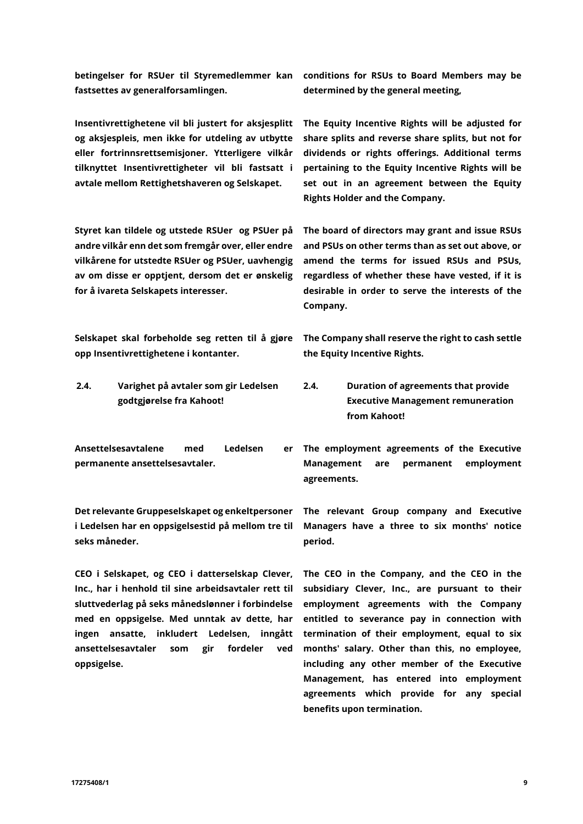betingelser for RSUer til Styremedlemmer kan fastsettes av generalforsamlingen.

Insentivrettighetene vil bli justert for aksjesplitt og aksjespleis, men ikke for utdeling av utbytte eller fortrinnsrettsemisjoner. Ytterligere vilkår tilknyttet Insentivrettigheter vil bli fastsatt i avtale mellom Rettighetshaveren og Selskapet.

Styret kan tildele og utstede RSUer og PSUer på andre vilkår enn det som fremgår over, eller endre vilkårene for utstedte RSUer og PSUer, uavhengig av om disse er opptjent, dersom det er ønskelig for å ivareta Selskapets interesser.

Selskapet skal forbeholde seg retten til å gjøre opp Insentivrettighetene i kontanter.

**2.4. Varighet på avtaler som gir Ledelsen godtgjørelse fra Kahoot!**

Ansettelsesavtalene med Ledelsen er permanente ansettelsesavtaler.

Det relevante Gruppeselskapet og enkeltpersoner i Ledelsen har en oppsigelsestid på mellom tre til seks måneder.

CEO i Selskapet, og CEO i datterselskap Clever, Inc., har i henhold til sine arbeidsavtaler rett til sluttvederlag på seks månedslønner i forbindelse med en oppsigelse. Med unntak av dette, har ingen ansatte, inkludert Ledelsen, inngått ansettelsesavtaler som gir fordeler ved oppsigelse.

conditions for RSUs to Board Members may be determined by the general meeting,

The Equity Incentive Rights will be adjusted for share splits and reverse share splits, but not for dividends or rights offerings. Additional terms pertaining to the Equity Incentive Rights will be set out in an agreement between the Equity Rights Holder and the Company.

The board of directors may grant and issue RSUs and PSUs on other terms than as set out above, or amend the terms for issued RSUs and PSUs, regardless of whether these have vested, if it is desirable in order to serve the interests of the Company.

The Company shall reserve the right to cash settle the Equity Incentive Rights.

- **2.4. Duration of agreements that provide Executive Management remuneration from Kahoot!**
- The employment agreements of the Executive Management are permanent employment agreements.

The relevant Group company and Executive Managers have a three to six months' notice period.

The CEO in the Company, and the CEO in the subsidiary Clever, Inc., are pursuant to their employment agreements with the Company entitled to severance pay in connection with termination of their employment, equal to six months' salary. Other than this, no employee, including any other member of the Executive Management, has entered into employment agreements which provide for any special benefits upon termination.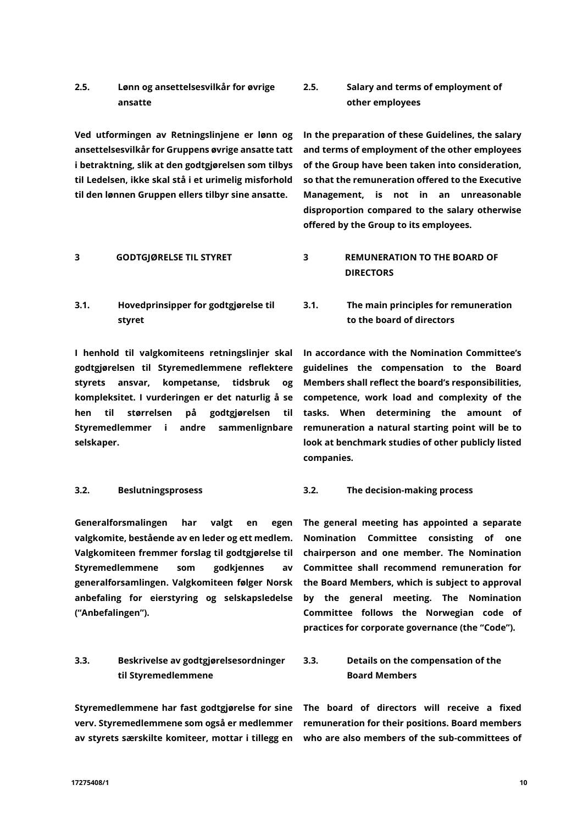# **2.5. Lønn og ansettelsesvilkår for øvrige ansatte**

Ved utformingen av Retningslinjene er lønn og ansettelsesvilkår for Gruppens øvrige ansatte tatt i betraktning, slik at den godtgjørelsen som tilbys til Ledelsen, ikke skal stå i et urimelig misforhold til den lønnen Gruppen ellers tilbyr sine ansatte.

**3.1. Hovedprinsipper for godtgjørelse til styret**

I henhold til valgkomiteens retningslinjer skal godtgjørelsen til Styremedlemmene reflektere styrets ansvar, kompetanse, tidsbruk og kompleksitet. I vurderingen er det naturlig å se hen til størrelsen på godtgjørelsen til Styremedlemmer i andre sammenlignbare selskaper.

Generalforsmalingen har valgt en egen valgkomite, bestående av en leder og ett medlem. Valgkomiteen fremmer forslag til godtgjørelse til Styremedlemmene som godkjennes av generalforsamlingen. Valgkomiteen følger Norsk anbefaling for eierstyring og selskapsledelse ("**Anbefalingen**").

## **3.3. Beskrivelse av godtgjørelsesordninger til Styremedlemmene**

Styremedlemmene har fast godtgjørelse for sine verv. Styremedlemmene som også er medlemmer av styrets særskilte komiteer, mottar i tillegg en

# **2.5. Salary and terms of employment of other employees**

In the preparation of these Guidelines, the salary and terms of employment of the other employees of the Group have been taken into consideration, so that the remuneration offered to the Executive Management, is not in an unreasonable disproportion compared to the salary otherwise offered by the Group to its employees.

# **3 GODTGJØRELSE TIL STYRET 3 REMUNERATION TO THE BOARD OF DIRECTORS**

**3.1. The main principles for remuneration to the board of directors**

In accordance with the Nomination Committee's guidelines the compensation to the Board Members shall reflect the board's responsibilities, competence, work load and complexity of the tasks. When determining the amount of remuneration a natural starting point will be to look at benchmark studies of other publicly listed companies.

### **3.2. Beslutningsprosess 3.2. The decision-making process**

The general meeting has appointed a separate Nomination Committee consisting of one chairperson and one member. The Nomination Committee shall recommend remuneration for the Board Members, which is subject to approval by the general meeting. The Nomination Committee follows the Norwegian code of practices for corporate governance (the "**Code**").

# **3.3. Details on the compensation of the Board Members**

The board of directors will receive a fixed remuneration for their positions. Board members who are also members of the sub-committees of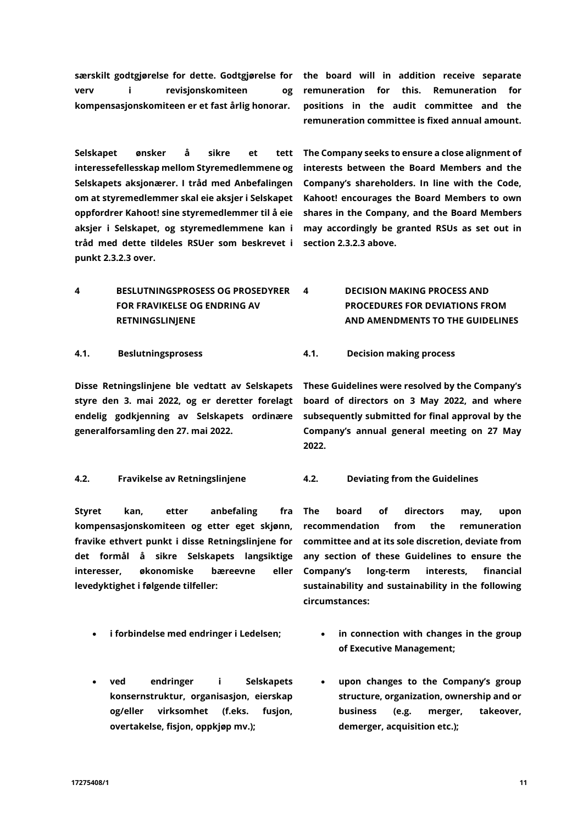17275408/1 11

særskilt godtgjørelse for dette. Godtgjørelse for verv i revisjonskomiteen og kompensasjonskomiteen er et fast årlig honorar.

Selskapet ønsker å sikre et tett interessefellesskap mellom Styremedlemmene og Selskapets aksjonærer. I tråd med Anbefalingen om at styremedlemmer skal eie aksjer i Selskapet oppfordrer Kahoot! sine styremedlemmer til å eie aksjer i Selskapet, og styremedlemmene kan i tråd med dette tildeles RSUer som beskrevet i punkt 2.3.2.3 over.

The Company seeks to ensure a close alignment of interests between the Board Members and the Company's shareholders. In line with the Code, Kahoot! encourages the Board Members to own shares in the Company, and the Board Members may accordingly be granted RSUs as set out in

the board will in addition receive separate remuneration for this. Remuneration for positions in the audit committee and the remuneration committee is fixed annual amount.

**4 BESLUTNINGSPROSESS OG PROSEDYRER FOR FRAVIKELSE OG ENDRING AV RETNINGSLINJENE 4 DECISION MAKING PROCESS AND PROCEDURES FOR DEVIATIONS FROM AND AMENDMENTS TO THE GUIDELINES**

section 2.3.2.3 above.

**4.1. Beslutningsprosess 4.1. Decision making process**

Disse Retningslinjene ble vedtatt av Selskapets styre den 3. mai 2022, og er deretter forelagt endelig godkjenning av Selskapets ordinære generalforsamling den 27. mai 2022.

### **4.2. Fravikelse av Retningslinjene 4.2. Deviating from the Guidelines**

Styret kan, etter anbefaling fra kompensasjonskomiteen og etter eget skjønn, fravike ethvert punkt i disse Retningslinjene for det formål å sikre Selskapets langsiktige interesser, økonomiske bæreevne eller levedyktighet i følgende tilfeller:

- 
- ved endringer i Selskapets konsernstruktur, organisasjon, eierskap og/eller virksomhet (f.eks. fusjon, overtakelse, fisjon, oppkjøp mv.);

These Guidelines were resolved by the Company's board of directors on 3 May 2022, and where subsequently submitted for final approval by the Company's annual general meeting on 27 May 2022.

The board of directors may, upon recommendation from the remuneration committee and at its sole discretion, deviate from any section of these Guidelines to ensure the Company's long-term interests, financial sustainability and sustainability in the following circumstances:

- i forbindelse med endringer i Ledelsen; in connection with changes in the group of Executive Management;
	- upon changes to the Company's group structure, organization, ownership and or business (e.g. merger, takeover, demerger, acquisition etc.);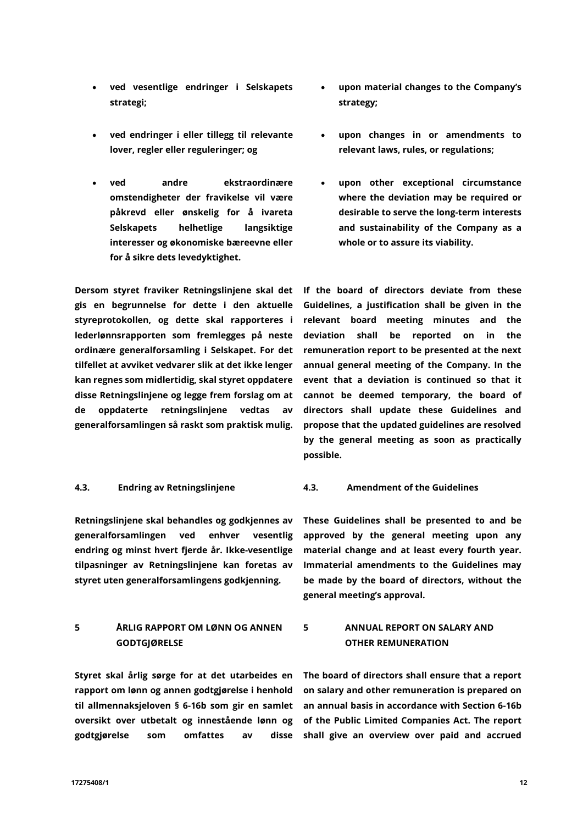- ved vesentlige endringer i Selskapets strategi;
- ved endringer i eller tillegg til relevante lover, regler eller reguleringer; og
- ved andre ekstraordinære omstendigheter der fravikelse vil være påkrevd eller ønskelig for å ivareta Selskapets helhetlige langsiktige interesser og økonomiske bæreevne eller for å sikre dets levedyktighet.

Dersom styret fraviker Retningslinjene skal det gis en begrunnelse for dette i den aktuelle styreprotokollen, og dette skal rapporteres i lederlønnsrapporten som fremlegges på neste ordinære generalforsamling i Selskapet. For det tilfellet at avviket vedvarer slik at det ikke lenger kan regnes som midlertidig, skal styret oppdatere disse Retningslinjene og legge frem forslag om at de oppdaterte retningslinjene vedtas av generalforsamlingen så raskt som praktisk mulig.

Retningslinjene skal behandles og godkjennes av generalforsamlingen ved enhver vesentlig endring og minst hvert fjerde år. Ikke-vesentlige tilpasninger av Retningslinjene kan foretas av styret uten generalforsamlingens godkjenning.

# **5 ÅRLIG RAPPORT OM LØNN OG ANNEN GODTGJØRELSE**

Styret skal årlig sørge for at det utarbeides en rapport om lønn og annen godtgjørelse i henhold til allmennaksjeloven § 6-16b som gir en samlet oversikt over utbetalt og innestående lønn og godtgjørelse som omfattes av disse

- upon material changes to the Company's strategy;
- upon changes in or amendments to relevant laws, rules, or regulations;
- upon other exceptional circumstance where the deviation may be required or desirable to serve the long-term interests and sustainability of the Company as a whole or to assure its viability.

If the board of directors deviate from these Guidelines, a justification shall be given in the relevant board meeting minutes and the deviation shall be reported on in the remuneration report to be presented at the next annual general meeting of the Company. In the event that a deviation is continued so that it cannot be deemed temporary, the board of directors shall update these Guidelines and propose that the updated guidelines are resolved by the general meeting as soon as practically possible.

# **4.3. Endring av Retningslinjene 4.3. Amendment of the Guidelines**

These Guidelines shall be presented to and be approved by the general meeting upon any material change and at least every fourth year. Immaterial amendments to the Guidelines may be made by the board of directors, without the general meeting's approval.

# **5 ANNUAL REPORT ON SALARY AND OTHER REMUNERATION**

The board of directors shall ensure that a report on salary and other remuneration is prepared on an annual basis in accordance with Section 6-16b of the Public Limited Companies Act. The report shall give an overview over paid and accrued